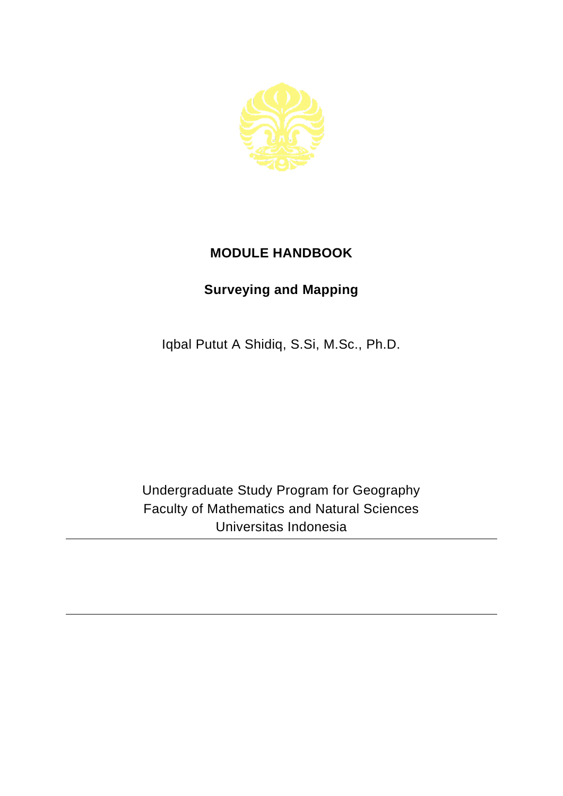

## **MODULE HANDBOOK**

## **Surveying and Mapping**

Iqbal Putut A Shidiq, S.Si, M.Sc., Ph.D.

Undergraduate Study Program for Geography Faculty of Mathematics and Natural Sciences Universitas Indonesia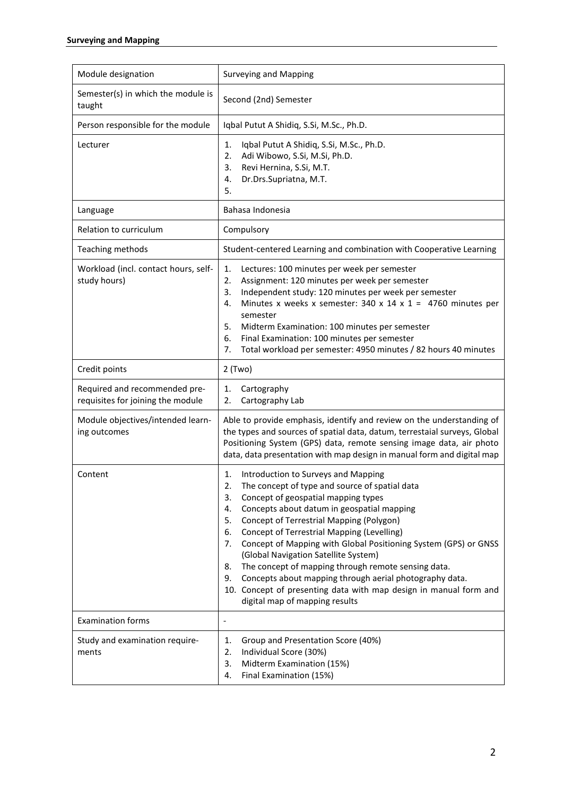| Module designation                                                 | <b>Surveying and Mapping</b>                                                                                                                                                                                                                                                                                                                                                                                                                                                                                                                                                                                                                                          |
|--------------------------------------------------------------------|-----------------------------------------------------------------------------------------------------------------------------------------------------------------------------------------------------------------------------------------------------------------------------------------------------------------------------------------------------------------------------------------------------------------------------------------------------------------------------------------------------------------------------------------------------------------------------------------------------------------------------------------------------------------------|
|                                                                    |                                                                                                                                                                                                                                                                                                                                                                                                                                                                                                                                                                                                                                                                       |
| Semester(s) in which the module is<br>taught                       | Second (2nd) Semester                                                                                                                                                                                                                                                                                                                                                                                                                                                                                                                                                                                                                                                 |
| Person responsible for the module                                  | Iqbal Putut A Shidiq, S.Si, M.Sc., Ph.D.                                                                                                                                                                                                                                                                                                                                                                                                                                                                                                                                                                                                                              |
| Lecturer                                                           | Iqbal Putut A Shidiq, S.Si, M.Sc., Ph.D.<br>1.<br>2.<br>Adi Wibowo, S.Si, M.Si, Ph.D.<br>Revi Hernina, S.Si, M.T.<br>3.<br>Dr.Drs.Supriatna, M.T.<br>4.<br>5.                                                                                                                                                                                                                                                                                                                                                                                                                                                                                                         |
| Language                                                           | Bahasa Indonesia                                                                                                                                                                                                                                                                                                                                                                                                                                                                                                                                                                                                                                                      |
| Relation to curriculum                                             | Compulsory                                                                                                                                                                                                                                                                                                                                                                                                                                                                                                                                                                                                                                                            |
| Teaching methods                                                   | Student-centered Learning and combination with Cooperative Learning                                                                                                                                                                                                                                                                                                                                                                                                                                                                                                                                                                                                   |
| Workload (incl. contact hours, self-<br>study hours)               | 1.<br>Lectures: 100 minutes per week per semester<br>2.<br>Assignment: 120 minutes per week per semester<br>Independent study: 120 minutes per week per semester<br>3.<br>Minutes x weeks x semester: 340 x 14 x 1 = 4760 minutes per<br>4.<br>semester<br>5.<br>Midterm Examination: 100 minutes per semester<br>Final Examination: 100 minutes per semester<br>6.<br>7.<br>Total workload per semester: 4950 minutes / 82 hours 40 minutes                                                                                                                                                                                                                          |
| Credit points                                                      | $2$ (Two)                                                                                                                                                                                                                                                                                                                                                                                                                                                                                                                                                                                                                                                             |
| Required and recommended pre-<br>requisites for joining the module | Cartography<br>1.<br>Cartography Lab<br>2.                                                                                                                                                                                                                                                                                                                                                                                                                                                                                                                                                                                                                            |
| Module objectives/intended learn-<br>ing outcomes                  | Able to provide emphasis, identify and review on the understanding of<br>the types and sources of spatial data, datum, terrestaial surveys, Global<br>Positioning System (GPS) data, remote sensing image data, air photo<br>data, data presentation with map design in manual form and digital map                                                                                                                                                                                                                                                                                                                                                                   |
| Content                                                            | Introduction to Surveys and Mapping<br>1.<br>The concept of type and source of spatial data<br>2.<br>Concept of geospatial mapping types<br>3.<br>Concepts about datum in geospatial mapping<br>4.<br>Concept of Terrestrial Mapping (Polygon)<br>5.<br><b>Concept of Terrestrial Mapping (Levelling)</b><br>6.<br>Concept of Mapping with Global Positioning System (GPS) or GNSS<br>7.<br>(Global Navigation Satellite System)<br>The concept of mapping through remote sensing data.<br>8.<br>Concepts about mapping through aerial photography data.<br>9.<br>10. Concept of presenting data with map design in manual form and<br>digital map of mapping results |
| <b>Examination forms</b>                                           | $\overline{\phantom{a}}$                                                                                                                                                                                                                                                                                                                                                                                                                                                                                                                                                                                                                                              |
| Study and examination require-<br>ments                            | Group and Presentation Score (40%)<br>1.<br>Individual Score (30%)<br>2.<br>Midterm Examination (15%)<br>3.<br>Final Examination (15%)<br>4.                                                                                                                                                                                                                                                                                                                                                                                                                                                                                                                          |